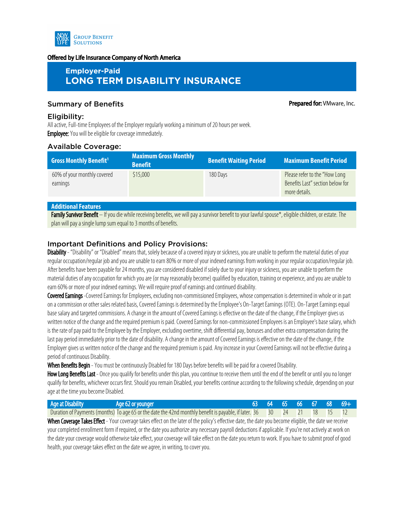

#### Offered by Life Insurance Company of North America

# **Employer-Paid LONG TERM DISABILITY INSURANCE**

## Summary of Benefits **Prepared for:** VMware, Inc.

#### Eligibility:

All active, Full-time Employees of the Employer regularly working a minimum of 20 hours per week. **Employee:** You will be eligible for coverage immediately.

#### Available Coverage:

| <b>Gross Monthly Benefit<sup>1</sup></b> | <b>Maximum Gross Monthly</b><br><b>Benefit</b> | <b>Benefit Waiting Period</b> | <b>Maximum Benefit Period</b>                                                      |
|------------------------------------------|------------------------------------------------|-------------------------------|------------------------------------------------------------------------------------|
| 60% of your monthly covered<br>earnings  | \$15,000                                       | 180 Days                      | Please refer to the "How Long<br>Benefits Last" section below for<br>more details. |

### **Additional Features**

Family Survivor Benefit – If you die while receiving benefits, we will pay a survivor benefit to your lawful spouse\*, eligible children, or estate. The plan will pay a single lump sum equal to 3 months of benefits.

### Important Definitions and Policy Provisions:

Disability - "Disability" or "Disabled" means that, solely because of a covered injury or sickness, you are unable to perform the material duties of your regular occupation/regular job and you are unable to earn 80% or more of your indexed earnings from working in your regular occupation/regular job. After benefits have been payable for 24 months, you are considered disabled if solely due to your injury or sickness, you are unable to perform the material duties of any occupation for which you are (or may reasonably become) qualified by education, training or experience, and you are unable to earn 60% or more of your indexed earnings. We will require proof of earnings and continued disability.

Covered Earnings -Covered Earnings for Employees, excluding non-commissioned Employees, whose compensation is determined in whole or in part on a commission or other sales related basis, Covered Earnings is determined by the Employee's On-Target Earnings (OTE). On-Target Earnings equal base salary and targeted commissions. A change in the amount of Covered Earnings is effective on the date of the change, if the Employer gives us written notice of the change and the required premium is paid. Covered Earnings for non-commissioned Employees is an Employee's base salary, which is the rate of pay paid to the Employee by the Employer, excluding overtime, shift differential pay, bonuses and other extra compensation during the last pay period immediately prior to the date of disability. A change in the amount of Covered Earnings is effective on the date of the change, if the Employer gives us written notice of the change and the required premium is paid. Any increase in your Covered Earnings will not be effective during a period of continuous Disability.

When Benefits Begin - You must be continuously Disabled for 180 Days before benefits will be paid for a covered Disability.

How Long Benefits Last - Once you qualify for benefits under this plan, you continue to receive them until the end of the benefit or until you no longer qualify for benefits, whichever occurs first. Should you remain Disabled, your benefits continue according to the following schedule, depending on your age at the time you become Disabled.

| Age at Disability                                                                                                                                      | Age 62 or younger                                                                                                       |  |  |  |  |  | 63 64 65 66 67 68 69+ |  |  |
|--------------------------------------------------------------------------------------------------------------------------------------------------------|-------------------------------------------------------------------------------------------------------------------------|--|--|--|--|--|-----------------------|--|--|
|                                                                                                                                                        | Duration of Payments (months) To age 65 or the date the 42nd monthly benefit is payable, if later. 36 30 24 21 18 15 12 |  |  |  |  |  |                       |  |  |
| When Coverage Takes Effect - Your coverage takes effect on the later of the policy's effective date, the date you become eligible, the date we receive |                                                                                                                         |  |  |  |  |  |                       |  |  |

your completed enrollment form if required, or the date you authorize any necessary payroll deductions if applicable. If you're not actively at work on the date your coverage would otherwise take effect, your coverage will take effect on the date you return to work. If you have to submit proof of good health, your coverage takes effect on the date we agree, in writing, to cover you.